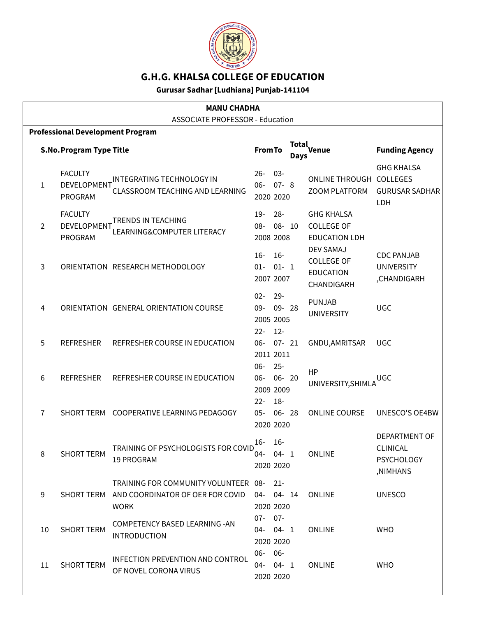

# **G.H.G. KHALSA COLLEGE OF EDUCATION**

### **Gurusar Sadhar [Ludhiana] Punjab-141104**

| <b>MANU CHADHA</b> |                                          |                                                                                         |                                           |                           |                      |                                                                         |                                                                   |
|--------------------|------------------------------------------|-----------------------------------------------------------------------------------------|-------------------------------------------|---------------------------|----------------------|-------------------------------------------------------------------------|-------------------------------------------------------------------|
|                    |                                          | <b>ASSOCIATE PROFESSOR - Education</b>                                                  |                                           |                           |                      |                                                                         |                                                                   |
|                    | <b>Professional Development Program</b>  |                                                                                         |                                           |                           |                      |                                                                         |                                                                   |
|                    | <b>S.No. Program Type Title</b>          |                                                                                         | <b>From To</b>                            |                           | Total<br><b>Days</b> | Venue                                                                   | <b>Funding Agency</b>                                             |
| $\mathbf{1}$       | <b>FACULTY</b><br>DEVELOPMENT<br>PROGRAM | <b>INTEGRATING TECHNOLOGY IN</b><br><b>CLASSROOM TEACHING AND LEARNING</b>              | $26 -$<br>$06 -$<br>2020 2020             | $03 -$<br>$07 - 8$        |                      | ONLINE THROUGH COLLEGES<br><b>ZOOM PLATFORM</b>                         | <b>GHG KHALSA</b><br><b>GURUSAR SADHAR</b><br>LDH                 |
| $\overline{2}$     | <b>FACULTY</b><br>DEVELOPMENT<br>PROGRAM | <b>TRENDS IN TEACHING</b><br>LEARNING&COMPUTER LITERACY                                 | $19-$<br>08-<br>2008 2008                 | $28 -$<br>08- 10          |                      | <b>GHG KHALSA</b><br><b>COLLEGE OF</b><br><b>EDUCATION LDH</b>          |                                                                   |
| 3                  |                                          | ORIENTATION RESEARCH METHODOLOGY                                                        | $16-$<br>$01 -$<br>2007 2007              | $16 -$<br>$01 - 1$        |                      | <b>DEV SAMAJ</b><br><b>COLLEGE OF</b><br><b>EDUCATION</b><br>CHANDIGARH | <b>CDC PANJAB</b><br><b>UNIVERSITY</b><br>,CHANDIGARH             |
| 4                  |                                          | ORIENTATION GENERAL ORIENTATION COURSE                                                  | $02 -$<br>$09 -$<br>2005 2005<br>$22 -$   | $29 -$<br>09-28<br>$12 -$ |                      | <b>PUNJAB</b><br><b>UNIVERSITY</b>                                      | <b>UGC</b>                                                        |
| 5                  | <b>REFRESHER</b>                         | REFRESHER COURSE IN EDUCATION                                                           | $06 -$<br>2011 2011                       | $07 - 21$                 |                      | GNDU, AMRITSAR                                                          | <b>UGC</b>                                                        |
| 6                  | <b>REFRESHER</b>                         | REFRESHER COURSE IN EDUCATION                                                           | $06 -$<br>$06 -$<br>2009 2009             | $25 -$<br>06-20           |                      | <b>HP</b><br>UNIVERSITY, SHIMLA                                         | UGC                                                               |
| 7                  |                                          | SHORT TERM COOPERATIVE LEARNING PEDAGOGY                                                | $22 -$<br>$05 -$<br>2020 2020             | $18 -$<br>06-28           |                      | <b>ONLINE COURSE</b>                                                    | UNESCO'S OE4BW                                                    |
| 8                  | <b>SHORT TERM</b>                        | TRAINING OF PSYCHOLOGISTS FOR COVID<br>19 PROGRAM                                       | 16-<br>$04 - 04 - 1$<br>2020 2020         | $16-$                     |                      | <b>ONLINE</b>                                                           | DEPARTMENT OF<br><b>CLINICAL</b><br><b>PSYCHOLOGY</b><br>,NIMHANS |
| 9                  | <b>SHORT TERM</b>                        | TRAINING FOR COMMUNITY VOLUNTEER 08-<br>AND COORDINATOR OF OER FOR COVID<br><b>WORK</b> | 04- 04- 14<br>2020 2020                   | $21-$                     |                      | <b>ONLINE</b>                                                           | <b>UNESCO</b>                                                     |
| 10                 | <b>SHORT TERM</b>                        | COMPETENCY BASED LEARNING - AN<br><b>INTRODUCTION</b>                                   | $07 - 07 -$<br>$04 - 04 - 1$<br>2020 2020 |                           |                      | <b>ONLINE</b>                                                           | <b>WHO</b>                                                        |
| 11                 | <b>SHORT TERM</b>                        | <b>INFECTION PREVENTION AND CONTROL</b><br>OF NOVEL CORONA VIRUS                        | 06-06-<br>$04 - 04 - 1$<br>2020 2020      |                           |                      | <b>ONLINE</b>                                                           | <b>WHO</b>                                                        |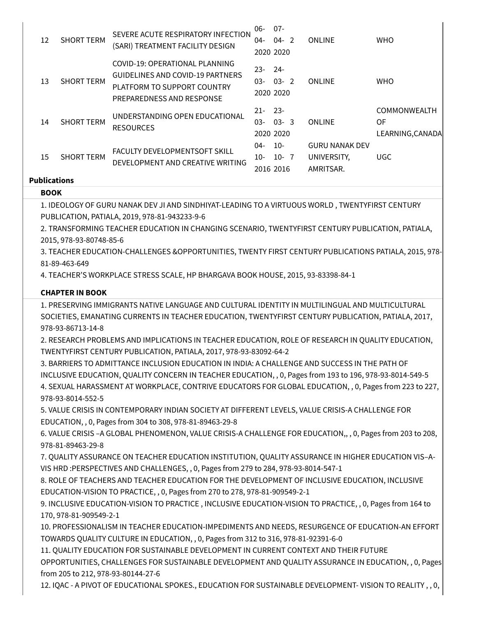| Publications |                                        |                                                                                                                                                                                                   |             |           |                       |                     |
|--------------|----------------------------------------|---------------------------------------------------------------------------------------------------------------------------------------------------------------------------------------------------|-------------|-----------|-----------------------|---------------------|
| 15           | <b>SHORT TERM</b>                      | DEVELOPMENT AND CREATIVE WRITING                                                                                                                                                                  | 2016 2016   |           | AMRITSAR.             |                     |
|              |                                        |                                                                                                                                                                                                   | $10-$       | $10 - 7$  | UNIVERSITY,           | <b>UGC</b>          |
| 13<br>14     | <b>SHORT TERM</b><br><b>SHORT TERM</b> | <b>GUIDELINES AND COVID-19 PARTNERS</b><br>PLATFORM TO SUPPORT COUNTRY<br>PREPAREDNESS AND RESPONSE<br>UNDERSTANDING OPEN EDUCATIONAL<br><b>RESOURCES</b><br><b>FACULTY DEVELOPMENTSOFT SKILL</b> | 04-         | $10-$     | <b>GURU NANAK DEV</b> |                     |
|              |                                        |                                                                                                                                                                                                   |             | 2020 2020 |                       | LEARNING, CANADA    |
|              |                                        |                                                                                                                                                                                                   | $03 -$      | $03 - 3$  | <b>ONLINE</b>         | 0F                  |
|              |                                        |                                                                                                                                                                                                   | $21 - 23 -$ |           |                       | <b>COMMONWEALTH</b> |
|              |                                        |                                                                                                                                                                                                   |             | 2020 2020 |                       |                     |
|              |                                        |                                                                                                                                                                                                   | $03 -$      | $03 - 2$  | <b>ONLINE</b>         | <b>WHO</b>          |
|              |                                        |                                                                                                                                                                                                   | $23 -$      | -24       |                       |                     |
|              |                                        | COVID-19: OPERATIONAL PLANNING                                                                                                                                                                    |             |           |                       |                     |
|              |                                        | (SARI) TREATMENT FACILITY DESIGN                                                                                                                                                                  |             | 2020 2020 |                       |                     |
| 12           | <b>SHORT TERM</b>                      |                                                                                                                                                                                                   | $04-$       | $04 - 2$  | <b>ONLINE</b>         | <b>WHO</b>          |
|              |                                        | SEVERE ACUTE RESPIRATORY INFECTION                                                                                                                                                                | 06-         | $07 -$    |                       |                     |

#### **BOOK**

1. IDEOLOGY OF GURU NANAK DEV JI AND SINDHIYAT-LEADING TO A VIRTUOUS WORLD , TWENTYFIRST CENTURY PUBLICATION, PATIALA, 2019, 978-81-943233-9-6

2. TRANSFORMING TEACHER EDUCATION IN CHANGING SCENARIO, TWENTYFIRST CENTURY PUBLICATION, PATIALA, 2015, 978-93-80748-85-6

3. TEACHER EDUCATION-CHALLENGES &OPPORTUNITIES, TWENTY FIRST CENTURY PUBLICATIONS PATIALA, 2015, 978- 81-89-463-649

4. TEACHER'S WORKPLACE STRESS SCALE, HP BHARGAVA BOOK HOUSE, 2015, 93-83398-84-1

### **CHAPTER IN BOOK**

1. PRESERVING IMMIGRANTS NATIVE LANGUAGE AND CULTURAL IDENTITY IN MULTILINGUAL AND MULTICULTURAL SOCIETIES, EMANATING CURRENTS IN TEACHER EDUCATION, TWENTYFIRST CENTURY PUBLICATION, PATIALA, 2017, 978-93-86713-14-8

2. RESEARCH PROBLEMS AND IMPLICATIONS IN TEACHER EDUCATION, ROLE OF RESEARCH IN QUALITY EDUCATION, TWENTYFIRST CENTURY PUBLICATION, PATIALA, 2017, 978-93-83092-64-2

3. BARRIERS TO ADMITTANCE INCLUSION EDUCATION IN INDIA: A CHALLENGE AND SUCCESS IN THE PATH OF INCLUSIVE EDUCATION, QUALITY CONCERN IN TEACHER EDUCATION, , 0, Pages from 193 to 196, 978-93-8014-549-5 4. SEXUAL HARASSMENT AT WORKPLACE, CONTRIVE EDUCATORS FOR GLOBAL EDUCATION, , 0, Pages from 223 to 227, 978-93-8014-552-5

5. VALUE CRISIS IN CONTEMPORARY INDIAN SOCIETY AT DIFFERENT LEVELS, VALUE CRISIS-A CHALLENGE FOR EDUCATION, , 0, Pages from 304 to 308, 978-81-89463-29-8

6. VALUE CRISIS –A GLOBAL PHENOMENON, VALUE CRISIS-A CHALLENGE FOR EDUCATION,, , 0, Pages from 203 to 208, 978-81-89463-29-8

7. QUALITY ASSURANCE ON TEACHER EDUCATION INSTITUTION, QUALITY ASSURANCE IN HIGHER EDUCATION VIS–A-VIS HRD :PERSPECTIVES AND CHALLENGES, , 0, Pages from 279 to 284, 978-93-8014-547-1

8. ROLE OF TEACHERS AND TEACHER EDUCATION FOR THE DEVELOPMENT OF INCLUSIVE EDUCATION, INCLUSIVE EDUCATION-VISION TO PRACTICE, , 0, Pages from 270 to 278, 978-81-909549-2-1

9. INCLUSIVE EDUCATION-VISION TO PRACTICE , INCLUSIVE EDUCATION-VISION TO PRACTICE, , 0, Pages from 164 to 170, 978-81-909549-2-1

10. PROFESSIONALISM IN TEACHER EDUCATION-IMPEDIMENTS AND NEEDS, RESURGENCE OF EDUCATION-AN EFFORT TOWARDS QUALITY CULTURE IN EDUCATION, , 0, Pages from 312 to 316, 978-81-92391-6-0

11. QUALITY EDUCATION FOR SUSTAINABLE DEVELOPMENT IN CURRENT CONTEXT AND THEIR FUTURE OPPORTUNITIES, CHALLENGES FOR SUSTAINABLE DEVELOPMENT AND QUALITY ASSURANCE IN EDUCATION, , 0, Pages from 205 to 212, 978-93-80144-27-6

12. IQAC - A PIVOT OF EDUCATIONAL SPOKES., EDUCATION FOR SUSTAINABLE DEVELOPMENT- VISION TO REALITY , , 0,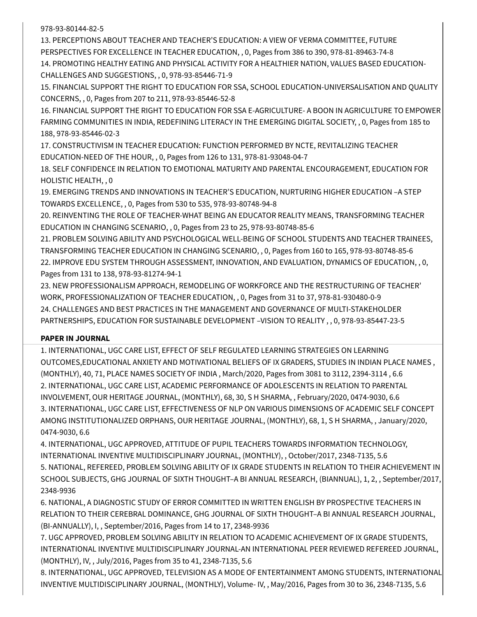978-93-80144-82-5

13. PERCEPTIONS ABOUT TEACHER AND TEACHER'S EDUCATION: A VIEW OF VERMA COMMITTEE, FUTURE PERSPECTIVES FOR EXCELLENCE IN TEACHER EDUCATION, , 0, Pages from 386 to 390, 978-81-89463-74-8 14. PROMOTING HEALTHY EATING AND PHYSICAL ACTIVITY FOR A HEALTHIER NATION, VALUES BASED EDUCATION-CHALLENGES AND SUGGESTIONS, , 0, 978-93-85446-71-9

15. FINANCIAL SUPPORT THE RIGHT TO EDUCATION FOR SSA, SCHOOL EDUCATION-UNIVERSALISATION AND QUALITY CONCERNS, , 0, Pages from 207 to 211, 978-93-85446-52-8

16. FINANCIAL SUPPORT THE RIGHT TO EDUCATION FOR SSA E-AGRICULTURE- A BOON IN AGRICULTURE TO EMPOWER FARMING COMMUNITIES IN INDIA, REDEFINING LITERACY IN THE EMERGING DIGITAL SOCIETY, , 0, Pages from 185 to 188, 978-93-85446-02-3

17. CONSTRUCTIVISM IN TEACHER EDUCATION: FUNCTION PERFORMED BY NCTE, REVITALIZING TEACHER EDUCATION-NEED OF THE HOUR, , 0, Pages from 126 to 131, 978-81-93048-04-7

18. SELF CONFIDENCE IN RELATION TO EMOTIONAL MATURITY AND PARENTAL ENCOURAGEMENT, EDUCATION FOR HOLISTIC HEALTH, , 0

19. EMERGING TRENDS AND INNOVATIONS IN TEACHER'S EDUCATION, NURTURING HIGHER EDUCATION –A STEP TOWARDS EXCELLENCE, , 0, Pages from 530 to 535, 978-93-80748-94-8

20. REINVENTING THE ROLE OF TEACHER-WHAT BEING AN EDUCATOR REALITY MEANS, TRANSFORMING TEACHER EDUCATION IN CHANGING SCENARIO, , 0, Pages from 23 to 25, 978-93-80748-85-6

21. PROBLEM SOLVING ABILITY AND PSYCHOLOGICAL WELL-BEING OF SCHOOL STUDENTS AND TEACHER TRAINEES, TRANSFORMING TEACHER EDUCATION IN CHANGING SCENARIO, , 0, Pages from 160 to 165, 978-93-80748-85-6 22. IMPROVE EDU SYSTEM THROUGH ASSESSMENT, INNOVATION, AND EVALUATION, DYNAMICS OF EDUCATION, , 0, Pages from 131 to 138, 978-93-81274-94-1

23. NEW PROFESSIONALISM APPROACH, REMODELING OF WORKFORCE AND THE RESTRUCTURING OF TEACHER' WORK, PROFESSIONALIZATION OF TEACHER EDUCATION, , 0, Pages from 31 to 37, 978-81-930480-0-9 24. CHALLENGES AND BEST PRACTICES IN THE MANAGEMENT AND GOVERNANCE OF MULTI-STAKEHOLDER PARTNERSHIPS, EDUCATION FOR SUSTAINABLE DEVELOPMENT –VISION TO REALITY , , 0, 978-93-85447-23-5

#### **PAPER IN JOURNAL**

1. INTERNATIONAL, UGC CARE LIST, EFFECT OF SELF REGULATED LEARNING STRATEGIES ON LEARNING OUTCOMES,EDUCATIONAL ANXIETY AND MOTIVATIONAL BELIEFS OF IX GRADERS, STUDIES IN INDIAN PLACE NAMES , (MONTHLY), 40, 71, PLACE NAMES SOCIETY OF INDIA , March/2020, Pages from 3081 to 3112, 2394-3114 , 6.6 2. INTERNATIONAL, UGC CARE LIST, ACADEMIC PERFORMANCE OF ADOLESCENTS IN RELATION TO PARENTAL INVOLVEMENT, OUR HERITAGE JOURNAL, (MONTHLY), 68, 30, S H SHARMA, , February/2020, 0474-9030, 6.6 3. INTERNATIONAL, UGC CARE LIST, EFFECTIVENESS OF NLP ON VARIOUS DIMENSIONS OF ACADEMIC SELF CONCEPT AMONG INSTITUTIONALIZED ORPHANS, OUR HERITAGE JOURNAL, (MONTHLY), 68, 1, S H SHARMA, , January/2020, 0474-9030, 6.6

4. INTERNATIONAL, UGC APPROVED, ATTITUDE OF PUPIL TEACHERS TOWARDS INFORMATION TECHNOLOGY, INTERNATIONAL INVENTIVE MULTIDISCIPLINARY JOURNAL, (MONTHLY), , October/2017, 2348-7135, 5.6 5. NATIONAL, REFEREED, PROBLEM SOLVING ABILITY OF IX GRADE STUDENTS IN RELATION TO THEIR ACHIEVEMENT IN SCHOOL SUBJECTS, GHG JOURNAL OF SIXTH THOUGHT–A BI ANNUAL RESEARCH, (BIANNUAL), 1, 2, , September/2017, 2348-9936

6. NATIONAL, A DIAGNOSTIC STUDY OF ERROR COMMITTED IN WRITTEN ENGLISH BY PROSPECTIVE TEACHERS IN RELATION TO THEIR CEREBRAL DOMINANCE, GHG JOURNAL OF SIXTH THOUGHT–A BI ANNUAL RESEARCH JOURNAL, (BI-ANNUALLY), I, , September/2016, Pages from 14 to 17, 2348-9936

7. UGC APPROVED, PROBLEM SOLVING ABILITY IN RELATION TO ACADEMIC ACHIEVEMENT OF IX GRADE STUDENTS, INTERNATIONAL INVENTIVE MULTIDISCIPLINARY JOURNAL-AN INTERNATIONAL PEER REVIEWED REFEREED JOURNAL, (MONTHLY), IV, , July/2016, Pages from 35 to 41, 2348-7135, 5.6

8. INTERNATIONAL, UGC APPROVED, TELEVISION AS A MODE OF ENTERTAINMENT AMONG STUDENTS, INTERNATIONAL INVENTIVE MULTIDISCIPLINARY JOURNAL, (MONTHLY), Volume- IV, , May/2016, Pages from 30 to 36, 2348-7135, 5.6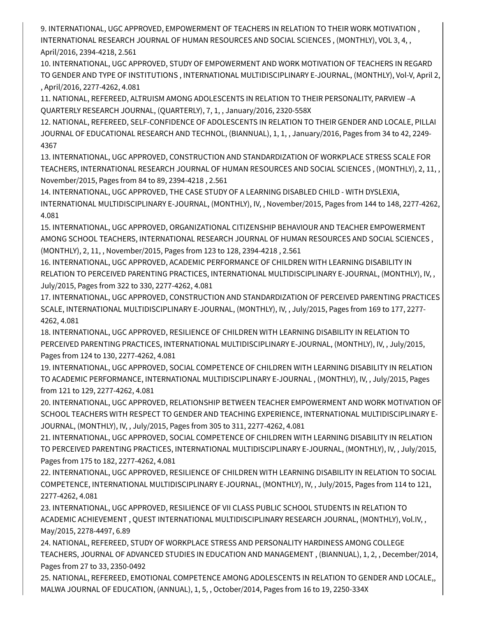9. INTERNATIONAL, UGC APPROVED, EMPOWERMENT OF TEACHERS IN RELATION TO THEIR WORK MOTIVATION , INTERNATIONAL RESEARCH JOURNAL OF HUMAN RESOURCES AND SOCIAL SCIENCES , (MONTHLY), VOL 3, 4, , April/2016, 2394-4218, 2.561

10. INTERNATIONAL, UGC APPROVED, STUDY OF EMPOWERMENT AND WORK MOTIVATION OF TEACHERS IN REGARD TO GENDER AND TYPE OF INSTITUTIONS , INTERNATIONAL MULTIDISCIPLINARY E-JOURNAL, (MONTHLY), Vol-V, April 2, , April/2016, 2277-4262, 4.081

11. NATIONAL, REFEREED, ALTRUISM AMONG ADOLESCENTS IN RELATION TO THEIR PERSONALITY, PARVIEW –A QUARTERLY RESEARCH JOURNAL, (QUARTERLY), 7, 1, , January/2016, 2320-558X

12. NATIONAL, REFEREED, SELF-CONFIDENCE OF ADOLESCENTS IN RELATION TO THEIR GENDER AND LOCALE, PILLAI JOURNAL OF EDUCATIONAL RESEARCH AND TECHNOL, (BIANNUAL), 1, 1, , January/2016, Pages from 34 to 42, 2249- 4367

13. INTERNATIONAL, UGC APPROVED, CONSTRUCTION AND STANDARDIZATION OF WORKPLACE STRESS SCALE FOR TEACHERS, INTERNATIONAL RESEARCH JOURNAL OF HUMAN RESOURCES AND SOCIAL SCIENCES , (MONTHLY), 2, 11, , November/2015, Pages from 84 to 89, 2394-4218 , 2.561

14. INTERNATIONAL, UGC APPROVED, THE CASE STUDY OF A LEARNING DISABLED CHILD - WITH DYSLEXIA, INTERNATIONAL MULTIDISCIPLINARY E-JOURNAL, (MONTHLY), IV, , November/2015, Pages from 144 to 148, 2277-4262, 4.081

15. INTERNATIONAL, UGC APPROVED, ORGANIZATIONAL CITIZENSHIP BEHAVIOUR AND TEACHER EMPOWERMENT AMONG SCHOOL TEACHERS, INTERNATIONAL RESEARCH JOURNAL OF HUMAN RESOURCES AND SOCIAL SCIENCES , (MONTHLY), 2, 11, , November/2015, Pages from 123 to 128, 2394-4218 , 2.561

16. INTERNATIONAL, UGC APPROVED, ACADEMIC PERFORMANCE OF CHILDREN WITH LEARNING DISABILITY IN RELATION TO PERCEIVED PARENTING PRACTICES, INTERNATIONAL MULTIDISCIPLINARY E-JOURNAL, (MONTHLY), IV, , July/2015, Pages from 322 to 330, 2277-4262, 4.081

17. INTERNATIONAL, UGC APPROVED, CONSTRUCTION AND STANDARDIZATION OF PERCEIVED PARENTING PRACTICES SCALE, INTERNATIONAL MULTIDISCIPLINARY E-JOURNAL, (MONTHLY), IV, , July/2015, Pages from 169 to 177, 2277- 4262, 4.081

18. INTERNATIONAL, UGC APPROVED, RESILIENCE OF CHILDREN WITH LEARNING DISABILITY IN RELATION TO PERCEIVED PARENTING PRACTICES, INTERNATIONAL MULTIDISCIPLINARY E-JOURNAL, (MONTHLY), IV, , July/2015, Pages from 124 to 130, 2277-4262, 4.081

19. INTERNATIONAL, UGC APPROVED, SOCIAL COMPETENCE OF CHILDREN WITH LEARNING DISABILITY IN RELATION TO ACADEMIC PERFORMANCE, INTERNATIONAL MULTIDISCIPLINARY E-JOURNAL , (MONTHLY), IV, , July/2015, Pages from 121 to 129, 2277-4262, 4.081

20. INTERNATIONAL, UGC APPROVED, RELATIONSHIP BETWEEN TEACHER EMPOWERMENT AND WORK MOTIVATION OF SCHOOL TEACHERS WITH RESPECT TO GENDER AND TEACHING EXPERIENCE, INTERNATIONAL MULTIDISCIPLINARY E-JOURNAL, (MONTHLY), IV, , July/2015, Pages from 305 to 311, 2277-4262, 4.081

21. INTERNATIONAL, UGC APPROVED, SOCIAL COMPETENCE OF CHILDREN WITH LEARNING DISABILITY IN RELATION TO PERCEIVED PARENTING PRACTICES, INTERNATIONAL MULTIDISCIPLINARY E-JOURNAL, (MONTHLY), IV, , July/2015, Pages from 175 to 182, 2277-4262, 4.081

22. INTERNATIONAL, UGC APPROVED, RESILIENCE OF CHILDREN WITH LEARNING DISABILITY IN RELATION TO SOCIAL COMPETENCE, INTERNATIONAL MULTIDISCIPLINARY E-JOURNAL, (MONTHLY), IV, , July/2015, Pages from 114 to 121, 2277-4262, 4.081

23. INTERNATIONAL, UGC APPROVED, RESILIENCE OF VII CLASS PUBLIC SCHOOL STUDENTS IN RELATION TO ACADEMIC ACHIEVEMENT , QUEST INTERNATIONAL MULTIDISCIPLINARY RESEARCH JOURNAL, (MONTHLY), Vol.IV, , May/2015, 2278-4497, 6.89

24. NATIONAL, REFEREED, STUDY OF WORKPLACE STRESS AND PERSONALITY HARDINESS AMONG COLLEGE TEACHERS, JOURNAL OF ADVANCED STUDIES IN EDUCATION AND MANAGEMENT , (BIANNUAL), 1, 2, , December/2014, Pages from 27 to 33, 2350-0492

25. NATIONAL, REFEREED, EMOTIONAL COMPETENCE AMONG ADOLESCENTS IN RELATION TO GENDER AND LOCALE,, MALWA JOURNAL OF EDUCATION, (ANNUAL), 1, 5, , October/2014, Pages from 16 to 19, 2250-334X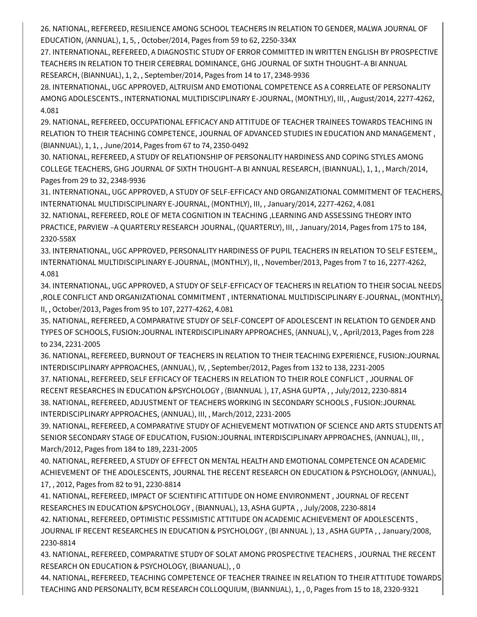26. NATIONAL, REFEREED, RESILIENCE AMONG SCHOOL TEACHERS IN RELATION TO GENDER, MALWA JOURNAL OF EDUCATION, (ANNUAL), 1, 5, , October/2014, Pages from 59 to 62, 2250-334X

27. INTERNATIONAL, REFEREED, A DIAGNOSTIC STUDY OF ERROR COMMITTED IN WRITTEN ENGLISH BY PROSPECTIVE TEACHERS IN RELATION TO THEIR CEREBRAL DOMINANCE, GHG JOURNAL OF SIXTH THOUGHT–A BI ANNUAL RESEARCH, (BIANNUAL), 1, 2, , September/2014, Pages from 14 to 17, 2348-9936

28. INTERNATIONAL, UGC APPROVED, ALTRUISM AND EMOTIONAL COMPETENCE AS A CORRELATE OF PERSONALITY AMONG ADOLESCENTS., INTERNATIONAL MULTIDISCIPLINARY E-JOURNAL, (MONTHLY), III, , August/2014, 2277-4262, 4.081

29. NATIONAL, REFEREED, OCCUPATIONAL EFFICACY AND ATTITUDE OF TEACHER TRAINEES TOWARDS TEACHING IN RELATION TO THEIR TEACHING COMPETENCE, JOURNAL OF ADVANCED STUDIES IN EDUCATION AND MANAGEMENT , (BIANNUAL), 1, 1, , June/2014, Pages from 67 to 74, 2350-0492

30. NATIONAL, REFEREED, A STUDY OF RELATIONSHIP OF PERSONALITY HARDINESS AND COPING STYLES AMONG COLLEGE TEACHERS, GHG JOURNAL OF SIXTH THOUGHT–A BI ANNUAL RESEARCH, (BIANNUAL), 1, 1, , March/2014, Pages from 29 to 32, 2348-9936

31. INTERNATIONAL, UGC APPROVED, A STUDY OF SELF-EFFICACY AND ORGANIZATIONAL COMMITMENT OF TEACHERS, INTERNATIONAL MULTIDISCIPLINARY E-JOURNAL, (MONTHLY), III, , January/2014, 2277-4262, 4.081

32. NATIONAL, REFEREED, ROLE OF META COGNITION IN TEACHING ,LEARNING AND ASSESSING THEORY INTO PRACTICE, PARVIEW –A QUARTERLY RESEARCH JOURNAL, (QUARTERLY), III, , January/2014, Pages from 175 to 184, 2320-558X

33. INTERNATIONAL, UGC APPROVED, PERSONALITY HARDINESS OF PUPIL TEACHERS IN RELATION TO SELF ESTEEM,, INTERNATIONAL MULTIDISCIPLINARY E-JOURNAL, (MONTHLY), II, , November/2013, Pages from 7 to 16, 2277-4262, 4.081

34. INTERNATIONAL, UGC APPROVED, A STUDY OF SELF-EFFICACY OF TEACHERS IN RELATION TO THEIR SOCIAL NEEDS ,ROLE CONFLICT AND ORGANIZATIONAL COMMITMENT , INTERNATIONAL MULTIDISCIPLINARY E-JOURNAL, (MONTHLY), II, , October/2013, Pages from 95 to 107, 2277-4262, 4.081

35. NATIONAL, REFEREED, A COMPARATIVE STUDY OF SELF-CONCEPT OF ADOLESCENT IN RELATION TO GENDER AND TYPES OF SCHOOLS, FUSION:JOURNAL INTERDISCIPLINARY APPROACHES, (ANNUAL), V, , April/2013, Pages from 228 to 234, 2231-2005

36. NATIONAL, REFEREED, BURNOUT OF TEACHERS IN RELATION TO THEIR TEACHING EXPERIENCE, FUSION:JOURNAL INTERDISCIPLINARY APPROACHES, (ANNUAL), IV, , September/2012, Pages from 132 to 138, 2231-2005

37. NATIONAL, REFEREED, SELF EFFICACY OF TEACHERS IN RELATION TO THEIR ROLE CONFLICT , JOURNAL OF RECENT RESEARCHES IN EDUCATION &PSYCHOLOGY , (BIANNUAL ), 17, ASHA GUPTA , , July/2012, 2230-8814 38. NATIONAL, REFEREED, ADJUSTMENT OF TEACHERS WORKING IN SECONDARY SCHOOLS , FUSION:JOURNAL INTERDISCIPLINARY APPROACHES, (ANNUAL), III, , March/2012, 2231-2005

39. NATIONAL, REFEREED, A COMPARATIVE STUDY OF ACHIEVEMENT MOTIVATION OF SCIENCE AND ARTS STUDENTS AT SENIOR SECONDARY STAGE OF EDUCATION, FUSION:JOURNAL INTERDISCIPLINARY APPROACHES, (ANNUAL), III, , March/2012, Pages from 184 to 189, 2231-2005

40. NATIONAL, REFEREED, A STUDY OF EFFECT ON MENTAL HEALTH AND EMOTIONAL COMPETENCE ON ACADEMIC ACHIEVEMENT OF THE ADOLESCENTS, JOURNAL THE RECENT RESEARCH ON EDUCATION & PSYCHOLOGY, (ANNUAL), 17, , 2012, Pages from 82 to 91, 2230-8814

41. NATIONAL, REFEREED, IMPACT OF SCIENTIFIC ATTITUDE ON HOME ENVIRONMENT , JOURNAL OF RECENT RESEARCHES IN EDUCATION &PSYCHOLOGY , (BIANNUAL), 13, ASHA GUPTA , , July/2008, 2230-8814

42. NATIONAL, REFEREED, OPTIMISTIC PESSIMISTIC ATTITUDE ON ACADEMIC ACHIEVEMENT OF ADOLESCENTS ,

JOURNAL IF RECENT RESEARCHES IN EDUCATION & PSYCHOLOGY , (BI ANNUAL ), 13 , ASHA GUPTA , , January/2008, 2230-8814

43. NATIONAL, REFEREED, COMPARATIVE STUDY OF SOLAT AMONG PROSPECTIVE TEACHERS , JOURNAL THE RECENT RESEARCH ON EDUCATION & PSYCHOLOGY, (BIAANUAL), , 0

44. NATIONAL, REFEREED, TEACHING COMPETENCE OF TEACHER TRAINEE IN RELATION TO THEIR ATTITUDE TOWARDS TEACHING AND PERSONALITY, BCM RESEARCH COLLOQUIUM, (BIANNUAL), 1, , 0, Pages from 15 to 18, 2320-9321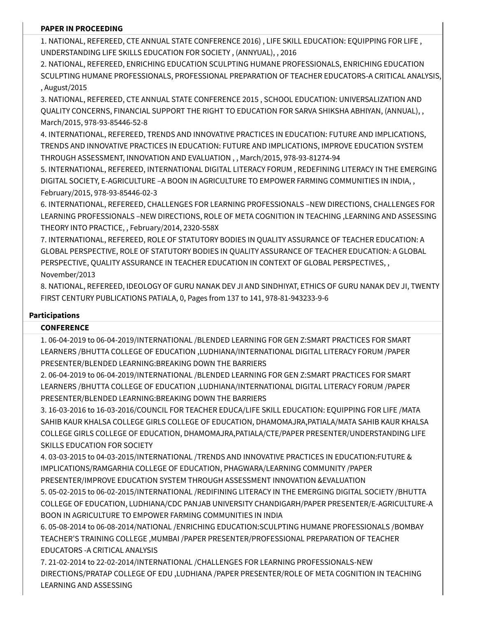#### **PAPER IN PROCEEDING**

1. NATIONAL, REFEREED, CTE ANNUAL STATE CONFERENCE 2016) , LIFE SKILL EDUCATION: EQUIPPING FOR LIFE , UNDERSTANDING LIFE SKILLS EDUCATION FOR SOCIETY , (ANNYUAL), , 2016

2. NATIONAL, REFEREED, ENRICHING EDUCATION SCULPTING HUMANE PROFESSIONALS, ENRICHING EDUCATION SCULPTING HUMANE PROFESSIONALS, PROFESSIONAL PREPARATION OF TEACHER EDUCATORS-A CRITICAL ANALYSIS, , August/2015

3. NATIONAL, REFEREED, CTE ANNUAL STATE CONFERENCE 2015 , SCHOOL EDUCATION: UNIVERSALIZATION AND QUALITY CONCERNS, FINANCIAL SUPPORT THE RIGHT TO EDUCATION FOR SARVA SHIKSHA ABHIYAN, (ANNUAL), , March/2015, 978-93-85446-52-8

4. INTERNATIONAL, REFEREED, TRENDS AND INNOVATIVE PRACTICES IN EDUCATION: FUTURE AND IMPLICATIONS, TRENDS AND INNOVATIVE PRACTICES IN EDUCATION: FUTURE AND IMPLICATIONS, IMPROVE EDUCATION SYSTEM THROUGH ASSESSMENT, INNOVATION AND EVALUATION , , March/2015, 978-93-81274-94

5. INTERNATIONAL, REFEREED, INTERNATIONAL DIGITAL LITERACY FORUM , REDEFINING LITERACY IN THE EMERGING DIGITAL SOCIETY, E-AGRICULTURE –A BOON IN AGRICULTURE TO EMPOWER FARMING COMMUNITIES IN INDIA, , February/2015, 978-93-85446-02-3

6. INTERNATIONAL, REFEREED, CHALLENGES FOR LEARNING PROFESSIONALS –NEW DIRECTIONS, CHALLENGES FOR LEARNING PROFESSIONALS –NEW DIRECTIONS, ROLE OF META COGNITION IN TEACHING ,LEARNING AND ASSESSING THEORY INTO PRACTICE, , February/2014, 2320-558X

7. INTERNATIONAL, REFEREED, ROLE OF STATUTORY BODIES IN QUALITY ASSURANCE OF TEACHER EDUCATION: A GLOBAL PERSPECTIVE, ROLE OF STATUTORY BODIES IN QUALITY ASSURANCE OF TEACHER EDUCATION: A GLOBAL PERSPECTIVE, QUALITY ASSURANCE IN TEACHER EDUCATION IN CONTEXT OF GLOBAL PERSPECTIVES, , November/2013

8. NATIONAL, REFEREED, IDEOLOGY OF GURU NANAK DEV JI AND SINDHIYAT, ETHICS OF GURU NANAK DEV JI, TWENTY FIRST CENTURY PUBLICATIONS PATIALA, 0, Pages from 137 to 141, 978-81-943233-9-6

#### **Participations**

### **CONFERENCE**

1. 06-04-2019 to 06-04-2019/INTERNATIONAL /BLENDED LEARNING FOR GEN Z:SMART PRACTICES FOR SMART LEARNERS /BHUTTA COLLEGE OF EDUCATION ,LUDHIANA/INTERNATIONAL DIGITAL LITERACY FORUM /PAPER PRESENTER/BLENDED LEARNING:BREAKING DOWN THE BARRIERS

2. 06-04-2019 to 06-04-2019/INTERNATIONAL /BLENDED LEARNING FOR GEN Z:SMART PRACTICES FOR SMART LEARNERS /BHUTTA COLLEGE OF EDUCATION ,LUDHIANA/INTERNATIONAL DIGITAL LITERACY FORUM /PAPER PRESENTER/BLENDED LEARNING:BREAKING DOWN THE BARRIERS

3. 16-03-2016 to 16-03-2016/COUNCIL FOR TEACHER EDUCA/LIFE SKILL EDUCATION: EQUIPPING FOR LIFE /MATA SAHIB KAUR KHALSA COLLEGE GIRLS COLLEGE OF EDUCATION, DHAMOMAJRA,PATIALA/MATA SAHIB KAUR KHALSA COLLEGE GIRLS COLLEGE OF EDUCATION, DHAMOMAJRA,PATIALA/CTE/PAPER PRESENTER/UNDERSTANDING LIFE SKILLS EDUCATION FOR SOCIETY

4. 03-03-2015 to 04-03-2015/INTERNATIONAL /TRENDS AND INNOVATIVE PRACTICES IN EDUCATION:FUTURE & IMPLICATIONS/RAMGARHIA COLLEGE OF EDUCATION, PHAGWARA/LEARNING COMMUNITY /PAPER PRESENTER/IMPROVE EDUCATION SYSTEM THROUGH ASSESSMENT INNOVATION &EVALUATION

5. 05-02-2015 to 06-02-2015/INTERNATIONAL /REDIFINING LITERACY IN THE EMERGING DIGITAL SOCIETY /BHUTTA COLLEGE OF EDUCATION, LUDHIANA/CDC PANJAB UNIVERSITY CHANDIGARH/PAPER PRESENTER/E-AGRICULTURE-A BOON IN AGRICULTURE TO EMPOWER FARMING COMMUNITIES IN INDIA

6. 05-08-2014 to 06-08-2014/NATIONAL /ENRICHING EDUCATION:SCULPTING HUMANE PROFESSIONALS /BOMBAY TEACHER'S TRAINING COLLEGE ,MUMBAI /PAPER PRESENTER/PROFESSIONAL PREPARATION OF TEACHER EDUCATORS -A CRITICAL ANALYSIS

7. 21-02-2014 to 22-02-2014/INTERNATIONAL /CHALLENGES FOR LEARNING PROFESSIONALS-NEW DIRECTIONS/PRATAP COLLEGE OF EDU ,LUDHIANA /PAPER PRESENTER/ROLE OF META COGNITION IN TEACHING LEARNING AND ASSESSING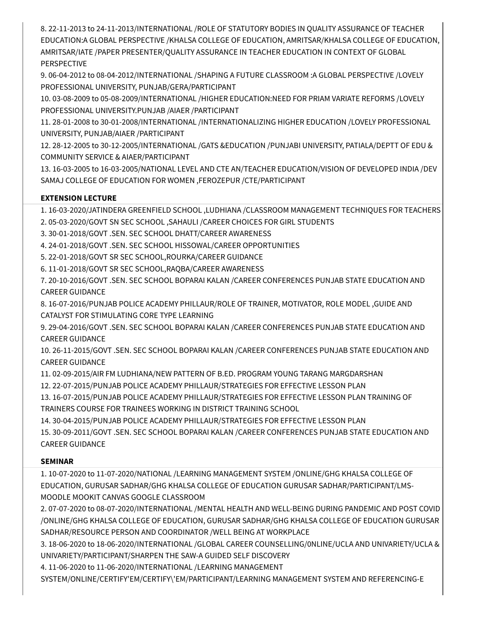8. 22-11-2013 to 24-11-2013/INTERNATIONAL /ROLE OF STATUTORY BODIES IN QUALITY ASSURANCE OF TEACHER EDUCATION:A GLOBAL PERSPECTIVE /KHALSA COLLEGE OF EDUCATION, AMRITSAR/KHALSA COLLEGE OF EDUCATION, AMRITSAR/IATE /PAPER PRESENTER/QUALITY ASSURANCE IN TEACHER EDUCATION IN CONTEXT OF GLOBAL PERSPECTIVE

9. 06-04-2012 to 08-04-2012/INTERNATIONAL /SHAPING A FUTURE CLASSROOM :A GLOBAL PERSPECTIVE /LOVELY PROFESSIONAL UNIVERSITY, PUNJAB/GERA/PARTICIPANT

10. 03-08-2009 to 05-08-2009/INTERNATIONAL /HIGHER EDUCATION:NEED FOR PRIAM VARIATE REFORMS /LOVELY PROFESSIONAL UNIVERSITY.PUNJAB /AIAER /PARTICIPANT

11. 28-01-2008 to 30-01-2008/INTERNATIONAL /INTERNATIONALIZING HIGHER EDUCATION /LOVELY PROFESSIONAL UNIVERSITY, PUNJAB/AIAER /PARTICIPANT

12. 28-12-2005 to 30-12-2005/INTERNATIONAL /GATS &EDUCATION /PUNJABI UNIVERSITY, PATIALA/DEPTT OF EDU & COMMUNITY SERVICE & AIAER/PARTICIPANT

13. 16-03-2005 to 16-03-2005/NATIONAL LEVEL AND CTE AN/TEACHER EDUCATION/VISION OF DEVELOPED INDIA /DEV SAMAJ COLLEGE OF EDUCATION FOR WOMEN ,FEROZEPUR /CTE/PARTICIPANT

## **EXTENSION LECTURE**

1. 16-03-2020/JATINDERA GREENFIELD SCHOOL ,LUDHIANA /CLASSROOM MANAGEMENT TECHNIQUES FOR TEACHERS

2. 05-03-2020/GOVT SN SEC SCHOOL ,SAHAULI /CAREER CHOICES FOR GIRL STUDENTS

3. 30-01-2018/GOVT .SEN. SEC SCHOOL DHATT/CAREER AWARENESS

4. 24-01-2018/GOVT .SEN. SEC SCHOOL HISSOWAL/CAREER OPPORTUNITIES

5. 22-01-2018/GOVT SR SEC SCHOOL,ROURKA/CAREER GUIDANCE

6. 11-01-2018/GOVT SR SEC SCHOOL,RAQBA/CAREER AWARENESS

7. 20-10-2016/GOVT .SEN. SEC SCHOOL BOPARAI KALAN /CAREER CONFERENCES PUNJAB STATE EDUCATION AND CAREER GUIDANCE

8. 16-07-2016/PUNJAB POLICE ACADEMY PHILLAUR/ROLE OF TRAINER, MOTIVATOR, ROLE MODEL ,GUIDE AND CATALYST FOR STIMULATING CORE TYPE LEARNING

9. 29-04-2016/GOVT .SEN. SEC SCHOOL BOPARAI KALAN /CAREER CONFERENCES PUNJAB STATE EDUCATION AND CAREER GUIDANCE

10. 26-11-2015/GOVT .SEN. SEC SCHOOL BOPARAI KALAN /CAREER CONFERENCES PUNJAB STATE EDUCATION AND CAREER GUIDANCE

11. 02-09-2015/AIR FM LUDHIANA/NEW PATTERN OF B.ED. PROGRAM YOUNG TARANG MARGDARSHAN

12. 22-07-2015/PUNJAB POLICE ACADEMY PHILLAUR/STRATEGIES FOR EFFECTIVE LESSON PLAN

13. 16-07-2015/PUNJAB POLICE ACADEMY PHILLAUR/STRATEGIES FOR EFFECTIVE LESSON PLAN TRAINING OF TRAINERS COURSE FOR TRAINEES WORKING IN DISTRICT TRAINING SCHOOL

14. 30-04-2015/PUNJAB POLICE ACADEMY PHILLAUR/STRATEGIES FOR EFFECTIVE LESSON PLAN

15. 30-09-2011/GOVT .SEN. SEC SCHOOL BOPARAI KALAN /CAREER CONFERENCES PUNJAB STATE EDUCATION AND CAREER GUIDANCE

### **SEMINAR**

1. 10-07-2020 to 11-07-2020/NATIONAL /LEARNING MANAGEMENT SYSTEM /ONLINE/GHG KHALSA COLLEGE OF EDUCATION, GURUSAR SADHAR/GHG KHALSA COLLEGE OF EDUCATION GURUSAR SADHAR/PARTICIPANT/LMS-MOODLE MOOKIT CANVAS GOOGLE CLASSROOM

2. 07-07-2020 to 08-07-2020/INTERNATIONAL /MENTAL HEALTH AND WELL-BEING DURING PANDEMIC AND POST COVID /ONLINE/GHG KHALSA COLLEGE OF EDUCATION, GURUSAR SADHAR/GHG KHALSA COLLEGE OF EDUCATION GURUSAR SADHAR/RESOURCE PERSON AND COORDINATOR /WELL BEING AT WORKPLACE

3. 18-06-2020 to 18-06-2020/INTERNATIONAL /GLOBAL CAREER COUNSELLING/0NLINE/UCLA AND UNIVARIETY/UCLA & UNIVARIETY/PARTICIPANT/SHARPEN THE SAW-A GUIDED SELF DISCOVERY

4. 11-06-2020 to 11-06-2020/INTERNATIONAL /LEARNING MANAGEMENT

SYSTEM/ONLINE/CERTIFY'EM/CERTIFY\'EM/PARTICIPANT/LEARNING MANAGEMENT SYSTEM AND REFERENCING-E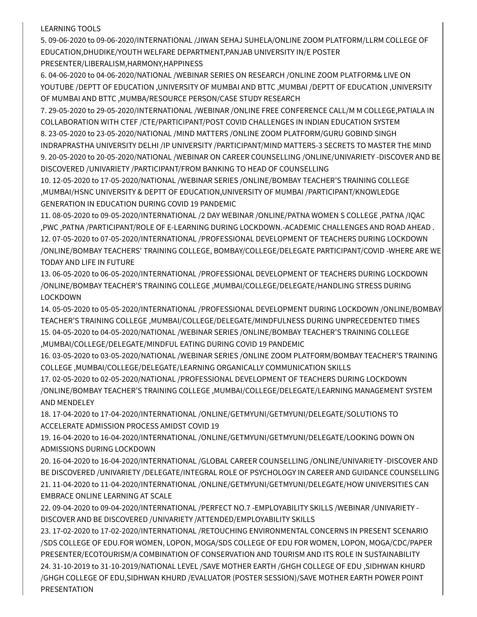#### LEARNING TOOLS

5. 09-06-2020 to 09-06-2020/INTERNATIONAL /JIWAN SEHAJ SUHELA/ONLINE ZOOM PLATFORM/LLRM COLLEGE OF EDUCATION,DHUDIKE/YOUTH WELFARE DEPARTMENT,PANJAB UNIVERSITY IN/E POSTER PRESENTER/LIBERALISM,HARMONY,HAPPINESS

6. 04-06-2020 to 04-06-2020/NATIONAL /WEBINAR SERIES ON RESEARCH /ONLINE ZOOM PLATFORM& LIVE ON YOUTUBE /DEPTT OF EDUCATION ,UNIVERSITY OF MUMBAI AND BTTC ,MUMBAI /DEPTT OF EDUCATION ,UNIVERSITY OF MUMBAI AND BTTC ,MUMBA/RESOURCE PERSON/CASE STUDY RESEARCH

7. 29-05-2020 to 29-05-2020/INTERNATIONAL /WEBINAR /ONLINE FREE CONFERENCE CALL/M M COLLEGE,PATIALA IN COLLABORATION WITH CTEF /CTE/PARTICIPANT/POST COVID CHALLENGES IN INDIAN EDUCATION SYSTEM 8. 23-05-2020 to 23-05-2020/NATIONAL /MIND MATTERS /ONLINE ZOOM PLATFORM/GURU GOBIND SINGH INDRAPRASTHA UNIVERSITY DELHI /IP UNIVERSITY /PARTICIPANT/MIND MATTERS-3 SECRETS TO MASTER THE MIND 9. 20-05-2020 to 20-05-2020/NATIONAL /WEBINAR ON CAREER COUNSELLING /ONLINE/UNIVARIETY -DISCOVER AND BE DISCOVERED /UNIVARIETY /PARTICIPANT/FROM BANKING TO HEAD OF COUNSELLING

10. 12-05-2020 to 17-05-2020/NATIONAL /WEBINAR SERIES /ONLINE/BOMBAY TEACHER'S TRAINING COLLEGE ,MUMBAI/HSNC UNIVERSITY & DEPTT OF EDUCATION,UNIVERSITY OF MUMBAI /PARTICIPANT/KNOWLEDGE GENERATION IN EDUCATION DURING COVID 19 PANDEMIC

11. 08-05-2020 to 09-05-2020/INTERNATIONAL /2 DAY WEBINAR /ONLINE/PATNA WOMEN S COLLEGE ,PATNA /IQAC ,PWC ,PATNA /PARTICIPANT/ROLE OF E-LEARNING DURING LOCKDOWN.-ACADEMIC CHALLENGES AND ROAD AHEAD . 12. 07-05-2020 to 07-05-2020/INTERNATIONAL /PROFESSIONAL DEVELOPMENT OF TEACHERS DURING LOCKDOWN /ONLINE/BOMBAY TEACHERS' TRAINING COLLEGE, BOMBAY/COLLEGE/DELEGATE PARTICIPANT/COVID -WHERE ARE WE TODAY AND LIFE IN FUTURE

13. 06-05-2020 to 06-05-2020/INTERNATIONAL /PROFESSIONAL DEVELOPMENT OF TEACHERS DURING LOCKDOWN /ONLINE/BOMBAY TEACHER'S TRAINING COLLEGE ,MUMBAI/COLLEGE/DELEGATE/HANDLING STRESS DURING LOCKDOWN

14. 05-05-2020 to 05-05-2020/INTERNATIONAL /PROFESSIONAL DEVELOPMENT DURING LOCKDOWN /ONLINE/BOMBAY TEACHER'S TRAINING COLLEGE ,MUMBAI/COLLEGE/DELEGATE/MINDFULNESS DURING UNPRECEDENTED TIMES 15. 04-05-2020 to 04-05-2020/NATIONAL /WEBINAR SERIES /ONLINE/BOMBAY TEACHER'S TRAINING COLLEGE ,MUMBAI/COLLEGE/DELEGATE/MINDFUL EATING DURING COVID 19 PANDEMIC

16. 03-05-2020 to 03-05-2020/NATIONAL /WEBINAR SERIES /ONLINE ZOOM PLATFORM/BOMBAY TEACHER'S TRAINING COLLEGE ,MUMBAI/COLLEGE/DELEGATE/LEARNING ORGANICALLY COMMUNICATION SKILLS

17. 02-05-2020 to 02-05-2020/NATIONAL /PROFESSIONAL DEVELOPMENT OF TEACHERS DURING LOCKDOWN /ONLINE/BOMBAY TEACHER'S TRAINING COLLEGE ,MUMBAI/COLLEGE/DELEGATE/LEARNING MANAGEMENT SYSTEM AND MENDELEY

18. 17-04-2020 to 17-04-2020/INTERNATIONAL /ONLINE/GETMYUNI/GETMYUNI/DELEGATE/SOLUTIONS TO ACCELERATE ADMISSION PROCESS AMIDST COVID 19

19. 16-04-2020 to 16-04-2020/INTERNATIONAL /ONLINE/GETMYUNI/GETMYUNI/DELEGATE/LOOKING DOWN ON ADMISSIONS DURING LOCKDOWN

20. 16-04-2020 to 16-04-2020/INTERNATIONAL /GLOBAL CAREER COUNSELLING /ONLINE/UNIVARIETY -DISCOVER AND BE DISCOVERED /UNIVARIETY /DELEGATE/INTEGRAL ROLE OF PSYCHOLOGY IN CAREER AND GUIDANCE COUNSELLING 21. 11-04-2020 to 11-04-2020/INTERNATIONAL /ONLINE/GETMYUNI/GETMYUNI/DELEGATE/HOW UNIVERSITIES CAN EMBRACE ONLINE LEARNING AT SCALE

22. 09-04-2020 to 09-04-2020/INTERNATIONAL /PERFECT NO.7 -EMPLOYABILITY SKILLS /WEBINAR /UNIVARIETY - DISCOVER AND BE DISCOVERED /UNIVARIETY /ATTENDED/EMPLOYABILITY SKILLS

23. 17-02-2020 to 17-02-2020/INTERNATIONAL /RETOUCHING ENVIRONMENTAL CONCERNS IN PRESENT SCENARIO /SDS COLLEGE OF EDU.FOR WOMEN, LOPON, MOGA/SDS COLLEGE OF EDU FOR WOMEN, LOPON, MOGA/CDC/PAPER PRESENTER/ECOTOURISM/A COMBINATION OF CONSERVATION AND TOURISM AND ITS ROLE IN SUSTAINABILITY 24. 31-10-2019 to 31-10-2019/NATIONAL LEVEL /SAVE MOTHER EARTH /GHGH COLLEGE OF EDU ,SIDHWAN KHURD /GHGH COLLEGE OF EDU,SIDHWAN KHURD /EVALUATOR (POSTER SESSION)/SAVE MOTHER EARTH POWER POINT PRESENTATION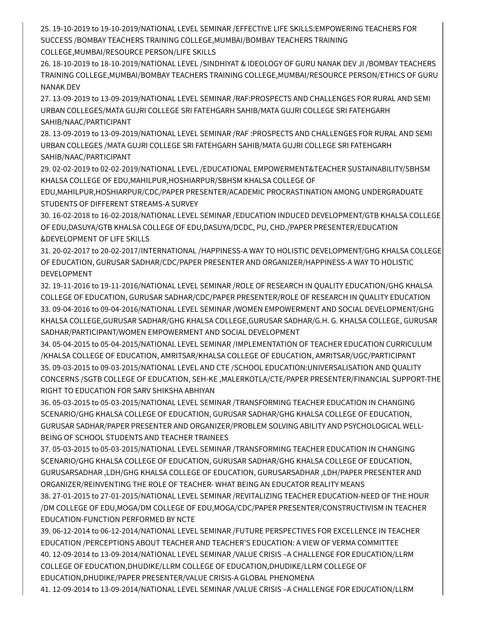25. 19-10-2019 to 19-10-2019/NATIONAL LEVEL SEMINAR /EFFECTIVE LIFE SKILLS:EMPOWERING TEACHERS FOR SUCCESS /BOMBAY TEACHERS TRAINING COLLEGE,MUMBAI/BOMBAY TEACHERS TRAINING COLLEGE,MUMBAI/RESOURCE PERSON/LIFE SKILLS

26. 18-10-2019 to 18-10-2019/NATIONAL LEVEL /SINDHIYAT & IDEOLOGY OF GURU NANAK DEV JI /BOMBAY TEACHERS TRAINING COLLEGE,MUMBAI/BOMBAY TEACHERS TRAINING COLLEGE,MUMBAI/RESOURCE PERSON/ETHICS OF GURU NANAK DEV

27. 13-09-2019 to 13-09-2019/NATIONAL LEVEL SEMINAR /RAF:PROSPECTS AND CHALLENGES FOR RURAL AND SEMI URBAN COLLEGES/MATA GUJRI COLLEGE SRI FATEHGARH SAHIB/MATA GUJRI COLLEGE SRI FATEHGARH SAHIB/NAAC/PARTICIPANT

28. 13-09-2019 to 13-09-2019/NATIONAL LEVEL SEMINAR /RAF :PROSPECTS AND CHALLENGES FOR RURAL AND SEMI URBAN COLLEGES /MATA GUJRI COLLEGE SRI FATEHGARH SAHIB/MATA GUJRI COLLEGE SRI FATEHGARH SAHIB/NAAC/PARTICIPANT

29. 02-02-2019 to 02-02-2019/NATIONAL LEVEL /EDUCATIONAL EMPOWERMENT&TEACHER SUSTAINABILITY/SBHSM KHALSA COLLEGE OF EDU,MAHILPUR,HOSHIARPUR/SBHSM KHALSA COLLEGE OF

EDU,MAHILPUR,HOSHIARPUR/CDC/PAPER PRESENTER/ACADEMIC PROCRASTINATION AMONG UNDERGRADUATE STUDENTS OF DIFFERENT STREAMS-A SURVEY

30. 16-02-2018 to 16-02-2018/NATIONAL LEVEL SEMINAR /EDUCATION INDUCED DEVELOPMENT/GTB KHALSA COLLEGE OF EDU,DASUYA/GTB KHALSA COLLEGE OF EDU,DASUYA/DCDC, PU, CHD./PAPER PRESENTER/EDUCATION &DEVELOPMENT OF LIFE SKILLS

31. 20-02-2017 to 20-02-2017/INTERNATIONAL /HAPPINESS-A WAY TO HOLISTIC DEVELOPMENT/GHG KHALSA COLLEGE OF EDUCATION, GURUSAR SADHAR/CDC/PAPER PRESENTER AND ORGANIZER/HAPPINESS-A WAY TO HOLISTIC DEVELOPMENT

32. 19-11-2016 to 19-11-2016/NATIONAL LEVEL SEMINAR /ROLE OF RESEARCH IN QUALITY EDUCATION/GHG KHALSA COLLEGE OF EDUCATION, GURUSAR SADHAR/CDC/PAPER PRESENTER/ROLE OF RESEARCH IN QUALITY EDUCATION 33. 09-04-2016 to 09-04-2016/NATIONAL LEVEL SEMINAR /WOMEN EMPOWERMENT AND SOCIAL DEVELOPMENT/GHG KHALSA COLLEGE,GURUSAR SADHAR/GHG KHALSA COLLEGE,GURUSAR SADHAR/G.H. G. KHALSA COLLEGE, GURUSAR SADHAR/PARTICIPANT/WOMEN EMPOWERMENT AND SOCIAL DEVELOPMENT

34. 05-04-2015 to 05-04-2015/NATIONAL LEVEL SEMINAR /IMPLEMENTATION OF TEACHER EDUCATION CURRICULUM /KHALSA COLLEGE OF EDUCATION, AMRITSAR/KHALSA COLLEGE OF EDUCATION, AMRITSAR/UGC/PARTICIPANT 35. 09-03-2015 to 09-03-2015/NATIONAL LEVEL AND CTE /SCHOOL EDUCATION:UNIVERSALISATION AND QUALITY CONCERNS /SGTB COLLEGE OF EDUCATION, SEH-KE ,MALERKOTLA/CTE/PAPER PRESENTER/FINANCIAL SUPPORT-THE RIGHT TO EDUCATION FOR SARV SHIKSHA ABHIYAN

36. 05-03-2015 to 05-03-2015/NATIONAL LEVEL SEMINAR /TRANSFORMING TEACHER EDUCATION IN CHANGING SCENARIO/GHG KHALSA COLLEGE OF EDUCATION, GURUSAR SADHAR/GHG KHALSA COLLEGE OF EDUCATION, GURUSAR SADHAR/PAPER PRESENTER AND ORGANIZER/PROBLEM SOLVING ABILITY AND PSYCHOLOGICAL WELL-BEING OF SCHOOL STUDENTS AND TEACHER TRAINEES

37. 05-03-2015 to 05-03-2015/NATIONAL LEVEL SEMINAR /TRANSFORMING TEACHER EDUCATION IN CHANGING SCENARIO/GHG KHALSA COLLEGE OF EDUCATION, GURUSAR SADHAR/GHG KHALSA COLLEGE OF EDUCATION, GURUSARSADHAR ,LDH/GHG KHALSA COLLEGE OF EDUCATION, GURUSARSADHAR ,LDH/PAPER PRESENTER AND ORGANIZER/REINVENTING THE ROLE OF TEACHER- WHAT BEING AN EDUCATOR REALITY MEANS

38. 27-01-2015 to 27-01-2015/NATIONAL LEVEL SEMINAR /REVITALIZING TEACHER EDUCATION-NEED OF THE HOUR /DM COLLEGE OF EDU,MOGA/DM COLLEGE OF EDU,MOGA/CDC/PAPER PRESENTER/CONSTRUCTIVISM IN TEACHER EDUCATION-FUNCTION PERFORMED BY NCTE

39. 06-12-2014 to 06-12-2014/NATIONAL LEVEL SEMINAR /FUTURE PERSPECTIVES FOR EXCELLENCE IN TEACHER EDUCATION /PERCEPTIONS ABOUT TEACHER AND TEACHER'S EDUCATION: A VIEW OF VERMA COMMITTEE 40. 12-09-2014 to 13-09-2014/NATIONAL LEVEL SEMINAR /VALUE CRISIS –A CHALLENGE FOR EDUCATION/LLRM COLLEGE OF EDUCATION,DHUDIKE/LLRM COLLEGE OF EDUCATION,DHUDIKE/LLRM COLLEGE OF EDUCATION,DHUDIKE/PAPER PRESENTER/VALUE CRISIS-A GLOBAL PHENOMENA

41. 12-09-2014 to 13-09-2014/NATIONAL LEVEL SEMINAR /VALUE CRISIS –A CHALLENGE FOR EDUCATION/LLRM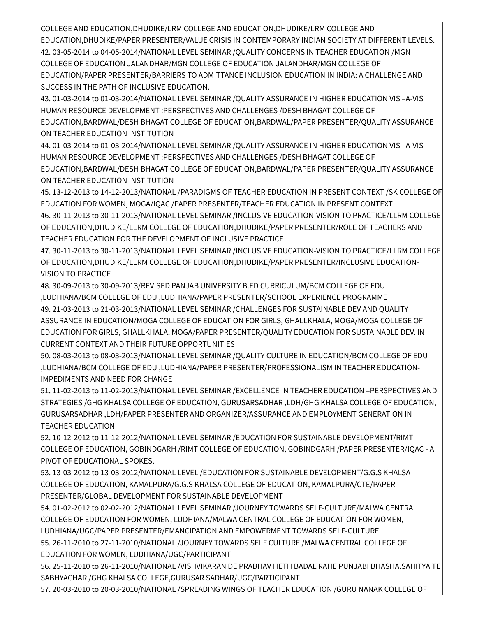COLLEGE AND EDUCATION,DHUDIKE/LRM COLLEGE AND EDUCATION,DHUDIKE/LRM COLLEGE AND EDUCATION,DHUDIKE/PAPER PRESENTER/VALUE CRISIS IN CONTEMPORARY INDIAN SOCIETY AT DIFFERENT LEVELS. 42. 03-05-2014 to 04-05-2014/NATIONAL LEVEL SEMINAR /QUALITY CONCERNS IN TEACHER EDUCATION /MGN COLLEGE OF EDUCATION JALANDHAR/MGN COLLEGE OF EDUCATION JALANDHAR/MGN COLLEGE OF EDUCATION/PAPER PRESENTER/BARRIERS TO ADMITTANCE INCLUSION EDUCATION IN INDIA: A CHALLENGE AND SUCCESS IN THE PATH OF INCLUSIVE EDUCATION.

43. 01-03-2014 to 01-03-2014/NATIONAL LEVEL SEMINAR /QUALITY ASSURANCE IN HIGHER EDUCATION VIS –A-VIS HUMAN RESOURCE DEVELOPMENT :PERSPECTIVES AND CHALLENGES /DESH BHAGAT COLLEGE OF EDUCATION,BARDWAL/DESH BHAGAT COLLEGE OF EDUCATION,BARDWAL/PAPER PRESENTER/QUALITY ASSURANCE ON TEACHER EDUCATION INSTITUTION

44. 01-03-2014 to 01-03-2014/NATIONAL LEVEL SEMINAR /QUALITY ASSURANCE IN HIGHER EDUCATION VIS –A-VIS HUMAN RESOURCE DEVELOPMENT :PERSPECTIVES AND CHALLENGES /DESH BHAGAT COLLEGE OF EDUCATION,BARDWAL/DESH BHAGAT COLLEGE OF EDUCATION,BARDWAL/PAPER PRESENTER/QUALITY ASSURANCE ON TEACHER EDUCATION INSTITUTION

45. 13-12-2013 to 14-12-2013/NATIONAL /PARADIGMS OF TEACHER EDUCATION IN PRESENT CONTEXT /SK COLLEGE OF EDUCATION FOR WOMEN, MOGA/IQAC /PAPER PRESENTER/TEACHER EDUCATION IN PRESENT CONTEXT 46. 30-11-2013 to 30-11-2013/NATIONAL LEVEL SEMINAR /INCLUSIVE EDUCATION-VISION TO PRACTICE/LLRM COLLEGE OF EDUCATION,DHUDIKE/LLRM COLLEGE OF EDUCATION,DHUDIKE/PAPER PRESENTER/ROLE OF TEACHERS AND TEACHER EDUCATION FOR THE DEVELOPMENT OF INCLUSIVE PRACTICE

47. 30-11-2013 to 30-11-2013/NATIONAL LEVEL SEMINAR /INCLUSIVE EDUCATION-VISION TO PRACTICE/LLRM COLLEGE OF EDUCATION,DHUDIKE/LLRM COLLEGE OF EDUCATION,DHUDIKE/PAPER PRESENTER/INCLUSIVE EDUCATION-VISION TO PRACTICE

48. 30-09-2013 to 30-09-2013/REVISED PANJAB UNIVERSITY B.ED CURRICULUM/BCM COLLEGE OF EDU ,LUDHIANA/BCM COLLEGE OF EDU ,LUDHIANA/PAPER PRESENTER/SCHOOL EXPERIENCE PROGRAMME 49. 21-03-2013 to 21-03-2013/NATIONAL LEVEL SEMINAR /CHALLENGES FOR SUSTAINABLE DEV AND QUALITY ASSURANCE IN EDUCATION/MOGA COLLEGE OF EDUCATION FOR GIRLS, GHALLKHALA, MOGA/MOGA COLLEGE OF EDUCATION FOR GIRLS, GHALLKHALA, MOGA/PAPER PRESENTER/QUALITY EDUCATION FOR SUSTAINABLE DEV. IN CURRENT CONTEXT AND THEIR FUTURE OPPORTUNITIES

50. 08-03-2013 to 08-03-2013/NATIONAL LEVEL SEMINAR /QUALITY CULTURE IN EDUCATION/BCM COLLEGE OF EDU ,LUDHIANA/BCM COLLEGE OF EDU ,LUDHIANA/PAPER PRESENTER/PROFESSIONALISM IN TEACHER EDUCATION-IMPEDIMENTS AND NEED FOR CHANGE

51. 11-02-2013 to 11-02-2013/NATIONAL LEVEL SEMINAR /EXCELLENCE IN TEACHER EDUCATION –PERSPECTIVES AND STRATEGIES /GHG KHALSA COLLEGE OF EDUCATION, GURUSARSADHAR ,LDH/GHG KHALSA COLLEGE OF EDUCATION, GURUSARSADHAR ,LDH/PAPER PRESENTER AND ORGANIZER/ASSURANCE AND EMPLOYMENT GENERATION IN TEACHER EDUCATION

52. 10-12-2012 to 11-12-2012/NATIONAL LEVEL SEMINAR /EDUCATION FOR SUSTAINABLE DEVELOPMENT/RIMT COLLEGE OF EDUCATION, GOBINDGARH /RIMT COLLEGE OF EDUCATION, GOBINDGARH /PAPER PRESENTER/IQAC - A PIVOT OF EDUCATIONAL SPOKES.

53. 13-03-2012 to 13-03-2012/NATIONAL LEVEL /EDUCATION FOR SUSTAINABLE DEVELOPMENT/G.G.S KHALSA COLLEGE OF EDUCATION, KAMALPURA/G.G.S KHALSA COLLEGE OF EDUCATION, KAMALPURA/CTE/PAPER PRESENTER/GLOBAL DEVELOPMENT FOR SUSTAINABLE DEVELOPMENT

54. 01-02-2012 to 02-02-2012/NATIONAL LEVEL SEMINAR /JOURNEY TOWARDS SELF-CULTURE/MALWA CENTRAL COLLEGE OF EDUCATION FOR WOMEN, LUDHIANA/MALWA CENTRAL COLLEGE OF EDUCATION FOR WOMEN, LUDHIANA/UGC/PAPER PRESENTER/EMANCIPATION AND EMPOWERMENT TOWARDS SELF-CULTURE 55. 26-11-2010 to 27-11-2010/NATIONAL /JOURNEY TOWARDS SELF CULTURE /MALWA CENTRAL COLLEGE OF EDUCATION FOR WOMEN, LUDHIANA/UGC/PARTICIPANT

56. 25-11-2010 to 26-11-2010/NATIONAL /VISHVIKARAN DE PRABHAV HETH BADAL RAHE PUNJABI BHASHA.SAHITYA TE SABHYACHAR /GHG KHALSA COLLEGE,GURUSAR SADHAR/UGC/PARTICIPANT

57. 20-03-2010 to 20-03-2010/NATIONAL /SPREADING WINGS OF TEACHER EDUCATION /GURU NANAK COLLEGE OF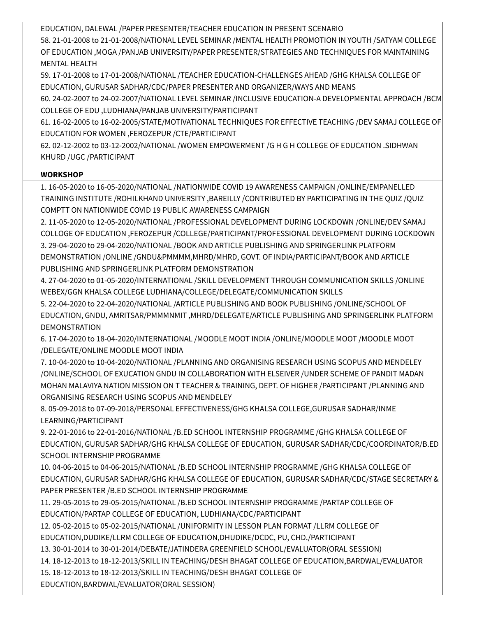EDUCATION, DALEWAL /PAPER PRESENTER/TEACHER EDUCATION IN PRESENT SCENARIO

58. 21-01-2008 to 21-01-2008/NATIONAL LEVEL SEMINAR /MENTAL HEALTH PROMOTION IN YOUTH /SATYAM COLLEGE OF EDUCATION ,MOGA /PANJAB UNIVERSITY/PAPER PRESENTER/STRATEGIES AND TECHNIQUES FOR MAINTAINING MENTAL HEALTH

59. 17-01-2008 to 17-01-2008/NATIONAL /TEACHER EDUCATION-CHALLENGES AHEAD /GHG KHALSA COLLEGE OF EDUCATION, GURUSAR SADHAR/CDC/PAPER PRESENTER AND ORGANIZER/WAYS AND MEANS

60. 24-02-2007 to 24-02-2007/NATIONAL LEVEL SEMINAR /INCLUSIVE EDUCATION-A DEVELOPMENTAL APPROACH /BCM COLLEGE OF EDU ,LUDHIANA/PANJAB UNIVERSITY/PARTICIPANT

61. 16-02-2005 to 16-02-2005/STATE/MOTIVATIONAL TECHNIQUES FOR EFFECTIVE TEACHING /DEV SAMAJ COLLEGE OF EDUCATION FOR WOMEN ,FEROZEPUR /CTE/PARTICIPANT

62. 02-12-2002 to 03-12-2002/NATIONAL /WOMEN EMPOWERMENT /G H G H COLLEGE OF EDUCATION .SIDHWAN KHURD /UGC /PARTICIPANT

### **WORKSHOP**

1. 16-05-2020 to 16-05-2020/NATIONAL /NATIONWIDE COVID 19 AWARENESS CAMPAIGN /ONLINE/EMPANELLED TRAINING INSTITUTE /ROHILKHAND UNIVERSITY ,BAREILLY /CONTRIBUTED BY PARTICIPATING IN THE QUIZ /QUIZ COMPTT ON NATIONWIDE COVID 19 PUBLIC AWARENESS CAMPAIGN

2. 11-05-2020 to 12-05-2020/NATIONAL /PROFESSIONAL DEVELOPMENT DURING LOCKDOWN /ONLINE/DEV SAMAJ COLLOGE OF EDUCATION ,FEROZEPUR /COLLEGE/PARTICIPANT/PROFESSIONAL DEVELOPMENT DURING LOCKDOWN 3. 29-04-2020 to 29-04-2020/NATIONAL /BOOK AND ARTICLE PUBLISHING AND SPRINGERLINK PLATFORM DEMONSTRATION /ONLINE /GNDU&PMMMM,MHRD/MHRD, GOVT. OF INDIA/PARTICIPANT/BOOK AND ARTICLE PUBLISHING AND SPRINGERLINK PLATFORM DEMONSTRATION

4. 27-04-2020 to 01-05-2020/INTERNATIONAL /SKILL DEVELOPMENT THROUGH COMMUNICATION SKILLS /ONLINE WEBEX/GGN KHALSA COLLEGE LUDHIANA/COLLEGE/DELEGATE/COMMUNICATION SKILLS

5. 22-04-2020 to 22-04-2020/NATIONAL /ARTICLE PUBLISHING AND BOOK PUBLISHING /ONLINE/SCHOOL OF EDUCATION, GNDU, AMRITSAR/PMMMNMIT ,MHRD/DELEGATE/ARTICLE PUBLISHING AND SPRINGERLINK PLATFORM DEMONSTRATION

6. 17-04-2020 to 18-04-2020/INTERNATIONAL /MOODLE MOOT INDIA /ONLINE/MOODLE MOOT /MOODLE MOOT /DELEGATE/ONLINE MOODLE MOOT INDIA

7. 10-04-2020 to 10-04-2020/NATIONAL /PLANNING AND ORGANISING RESEARCH USING SCOPUS AND MENDELEY /ONLINE/SCHOOL OF EXUCATION GNDU IN COLLABORATION WITH ELSEIVER /UNDER SCHEME OF PANDIT MADAN MOHAN MALAVIYA NATION MISSION ON T TEACHER & TRAINING, DEPT. OF HIGHER /PARTICIPANT /PLANNING AND ORGANISING RESEARCH USING SCOPUS AND MENDELEY

8. 05-09-2018 to 07-09-2018/PERSONAL EFFECTIVENESS/GHG KHALSA COLLEGE,GURUSAR SADHAR/INME LEARNING/PARTICIPANT

9. 22-01-2016 to 22-01-2016/NATIONAL /B.ED SCHOOL INTERNSHIP PROGRAMME /GHG KHALSA COLLEGE OF EDUCATION, GURUSAR SADHAR/GHG KHALSA COLLEGE OF EDUCATION, GURUSAR SADHAR/CDC/COORDINATOR/B.ED SCHOOL INTERNSHIP PROGRAMME

10. 04-06-2015 to 04-06-2015/NATIONAL /B.ED SCHOOL INTERNSHIP PROGRAMME /GHG KHALSA COLLEGE OF EDUCATION, GURUSAR SADHAR/GHG KHALSA COLLEGE OF EDUCATION, GURUSAR SADHAR/CDC/STAGE SECRETARY & PAPER PRESENTER /B.ED SCHOOL INTERNSHIP PROGRAMME

11. 29-05-2015 to 29-05-2015/NATIONAL /B.ED SCHOOL INTERNSHIP PROGRAMME /PARTAP COLLEGE OF EDUCATION/PARTAP COLLEGE OF EDUCATION, LUDHIANA/CDC/PARTICIPANT

12. 05-02-2015 to 05-02-2015/NATIONAL /UNIFORMITY IN LESSON PLAN FORMAT /LLRM COLLEGE OF

EDUCATION,DUDIKE/LLRM COLLEGE OF EDUCATION,DHUDIKE/DCDC, PU, CHD./PARTICIPANT

13. 30-01-2014 to 30-01-2014/DEBATE/JATINDERA GREENFIELD SCHOOL/EVALUATOR(ORAL SESSION)

14. 18-12-2013 to 18-12-2013/SKILL IN TEACHING/DESH BHAGAT COLLEGE OF EDUCATION,BARDWAL/EVALUATOR

15. 18-12-2013 to 18-12-2013/SKILL IN TEACHING/DESH BHAGAT COLLEGE OF

EDUCATION,BARDWAL/EVALUATOR(ORAL SESSION)